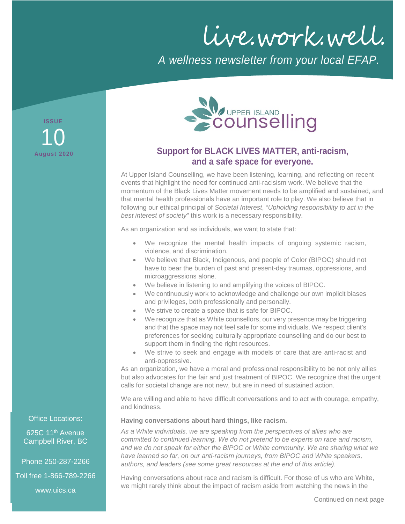live.work.well.

*A wellness newsletter from your local EFAP.*

**ISSUE August 2020** 10



# **Support for BLACK LIVES MATTER, anti-racism, and a safe space for everyone.**

At Upper Island Counselling, we have been listening, learning, and reflecting on recent events that highlight the need for continued anti-racisism work. We believe that the momentum of the Black Lives Matter movement needs to be amplified and sustained, and that mental health professionals have an important role to play. We also believe that in following our ethical principal of *Societal Interest*, "*Upholding responsibility to act in the best interest of society*" this work is a necessary responsibility.

As an organization and as individuals, we want to state that:

- We recognize the mental health impacts of ongoing systemic racism, violence, and discrimination.
- We believe that Black, Indigenous, and people of Color (BIPOC) should not have to bear the burden of past and present-day traumas, oppressions, and microaggressions alone.
- We believe in listening to and amplifying the voices of BIPOC.
- We continuously work to acknowledge and challenge our own implicit biases and privileges, both professionally and personally.
- We strive to create a space that is safe for BIPOC.
- We recognize that as White counsellors, our very presence may be triggering and that the space may not feel safe for some individuals. We respect client's preferences for seeking culturally appropriate counselling and do our best to support them in finding the right resources.
- We strive to seek and engage with models of care that are anti-racist and anti-oppressive.

As an organization, we have a moral and professional responsibility to be not only allies but also advocates for the fair and just treatment of BIPOC. We recognize that the urgent calls for societal change are not new, but are in need of sustained action.

We are willing and able to have difficult conversations and to act with courage, empathy, and kindness.

**Having conversations about hard things, like racism.**

*As a White individuals, we are speaking from the perspectives of allies who are committed to continued learning. We do not pretend to be experts on race and racism, and we do not speak for either the BIPOC or White community. We are sharing what we have learned so far, on our anti-racism journeys, from BIPOC and White speakers, authors, and leaders (see some great resources at the end of this article).*

Having conversations about race and racism is difficult. For those of us who are White, we might rarely think about the impact of racism aside from watching the news in the

Office Locations:

625C 11<sup>th</sup> Avenue Campbell River, BC

Phone 250-287-2266

Toll free 1-866-789-2266

www.uics.ca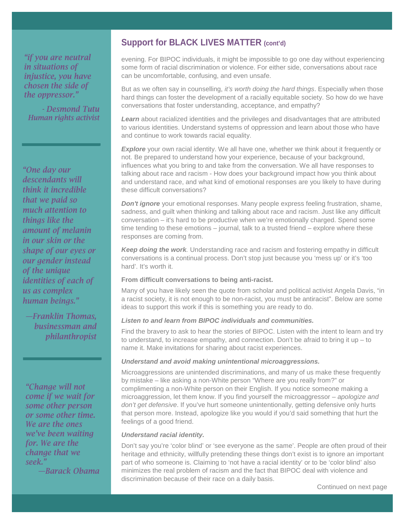*"if you are neutral in situations of injustice, you have chosen the side of the oppressor."* 

*- Desmond Tutu Human rights activist*

*"One day our descendants will think it incredible that we paid so much attention to things like the amount of melanin in our skin or the shape of our eyes or our gender instead of the unique identities of each of us as complex human beings."* 

*—Franklin Thomas, businessman and philanthropist*

*"Change will not come if we wait for some other person or some other time. We are the ones we've been waiting for. We are the change that we seek."*

*—Barack Obama*

## **Support for BLACK LIVES MATTER (cont'd)**

evening. For BIPOC individuals, it might be impossible to go one day without experiencing some form of racial discrimination or violence. For either side, conversations about race can be uncomfortable, confusing, and even unsafe.

But as we often say in counselling, *it's worth doing the hard things*. Especially when those hard things can foster the development of a racially equitable society. So how do we have conversations that foster understanding, acceptance, and empathy?

*Learn* about racialized identities and the privileges and disadvantages that are attributed to various identities. Understand systems of oppression and learn about those who have and continue to work towards racial equality.

**Explore** your own racial identity. We all have one, whether we think about it frequently or not. Be prepared to understand how your experience, because of your background, influences what you bring to and take from the conversation. We all have responses to talking about race and racism - How does your background impact how you think about and understand race, and what kind of emotional responses are you likely to have during these difficult conversations?

*Don't ignore* your emotional responses. Many people express feeling frustration, shame, sadness, and guilt when thinking and talking about race and racism. Just like any difficult conversation – it's hard to be productive when we're emotionally charged. Spend some time tending to these emotions – journal, talk to a trusted friend – explore where these responses are coming from.

*Keep doing the work.* Understanding race and racism and fostering empathy in difficult conversations is a continual process. Don't stop just because you 'mess up' or it's 'too hard'. It's worth it.

### **From difficult conversations to being anti-racist.**

Many of you have likely seen the quote from scholar and political activist Angela Davis, "in a racist society, it is not enough to be non-racist, you must be antiracist". Below are some ideas to support this work if this is something you are ready to do.

## *Listen to and learn from BIPOC individuals and communities.*

Find the bravery to ask to hear the stories of BIPOC. Listen with the intent to learn and try to understand, to increase empathy, and connection. Don't be afraid to bring it up – to name it. Make invitations for sharing about racist experiences.

#### *Understand and avoid making unintentional microaggressions.*

Microaggressions are unintended discriminations, and many of us make these frequently by mistake – like asking a non-White person "Where are you really from?" or complimenting a non-White person on their English. If you notice someone making a microaggression, let them know. If you find yourself the microaggressor – *apologize and don't get defensive*. If you've hurt someone unintentionally, getting defensive only hurts that person more. Instead, apologize like you would if you'd said something that hurt the feelings of a good friend.

#### *Understand racial identity.*

Don't say you're 'color blind' or 'see everyone as the same'. People are often proud of their heritage and ethnicity, willfully pretending these things don't exist is to ignore an important part of who someone is. Claiming to 'not have a racial identity' or to be 'color blind' also minimizes the real problem of racism and the fact that BIPOC deal with violence and discrimination because of their race on a daily basis.